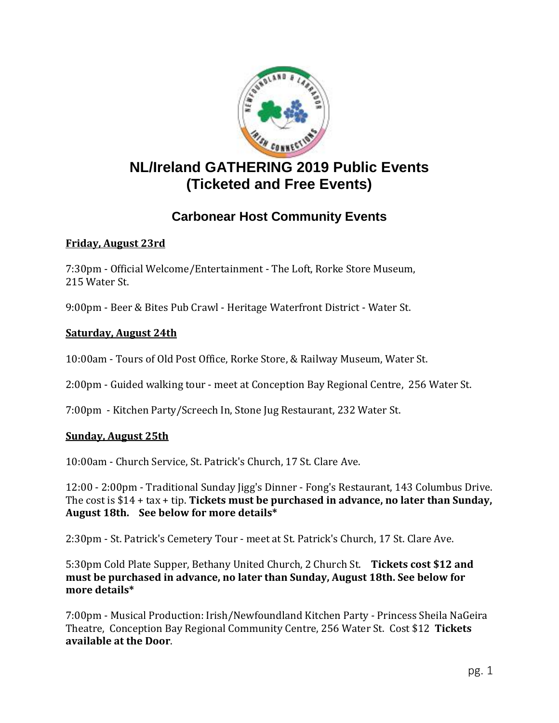

# **NL/Ireland GATHERING 2019 Public Events (Ticketed and Free Events)**

# **Carbonear Host Community Events**

### **Friday, August 23rd**

7:30pm - Official Welcome/Entertainment - The Loft, Rorke Store Museum, 215 Water St.

9:00pm - Beer & Bites Pub Crawl - Heritage Waterfront District - Water St.

### **Saturday, August 24th**

10:00am - Tours of Old Post Office, Rorke Store, & Railway Museum, Water St.

2:00pm - Guided walking tour - meet at Conception Bay Regional Centre, 256 Water St.

7:00pm - Kitchen Party/Screech In, Stone Jug Restaurant, 232 Water St.

#### **Sunday, August 25th**

10:00am - Church Service, St. Patrick's Church, 17 St. Clare Ave.

12:00 - 2:00pm - Traditional Sunday Jigg's Dinner - Fong's Restaurant, 143 Columbus Drive. The cost is \$14 + tax + tip. **Tickets must be purchased in advance, no later than Sunday, August 18th. See below for more details\***

2:30pm - St. Patrick's Cemetery Tour - meet at St. Patrick's Church, 17 St. Clare Ave.

5:30pm Cold Plate Supper, Bethany United Church, 2 Church St. **Tickets cost \$12 and must be purchased in advance, no later than Sunday, August 18th. See below for more details\***

7:00pm - Musical Production: Irish/Newfoundland Kitchen Party - Princess Sheila NaGeira Theatre, Conception Bay Regional Community Centre, 256 Water St. Cost \$12 **Tickets available at the Door**.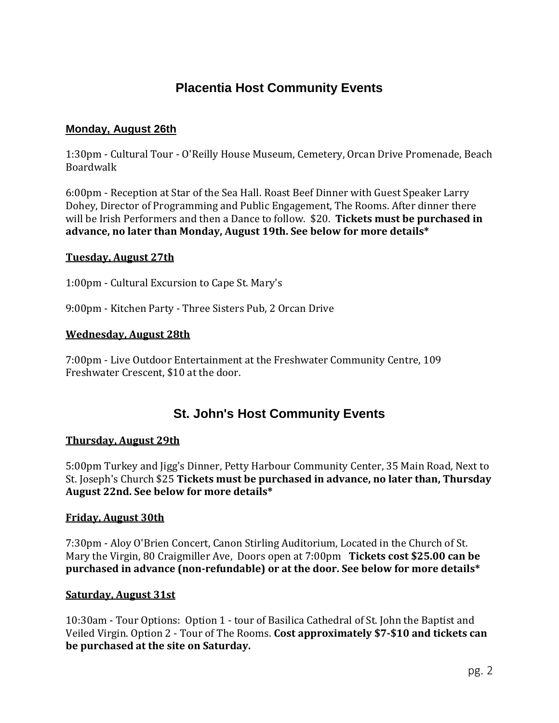## **Placentia Host Community Events**

#### **Monday, August 26th**

1:30pm - Cultural Tour - O'Reilly House Museum, Cemetery, Orcan Drive Promenade, Beach Boardwalk

6:00pm - Reception at Star of the Sea Hall. Roast Beef Dinner with Guest Speaker Larry Dohey, Director of Programming and Public Engagement, The Rooms. After dinner there will be Irish Performers and then a Dance to follow. \$20. **Tickets must be purchased in advance, no later than Monday, August 19th. See below for more details\***

#### **Tuesday, August 27th**

1:00pm - Cultural Excursion to Cape St. Mary's

9:00pm - Kitchen Party - Three Sisters Pub, 2 Orcan Drive

#### **Wednesday, August 28th**

7:00pm - Live Outdoor Entertainment at the Freshwater Community Centre, 109 Freshwater Crescent, \$10 at the door.

## **St. John's Host Community Events**

#### **Thursday, August 29th**

5:00pm Turkey and Jigg's Dinner, Petty Harbour Community Center, 35 Main Road, Next to St. Joseph's Church \$25 **Tickets must be purchased in advance, no later than, Thursday August 22nd. See below for more details\***

#### **Friday, August 30th**

7:30pm - Aloy O'Brien Concert, Canon Stirling Auditorium, Located in the Church of St. Mary the Virgin, 80 Craigmiller Ave, Doors open at 7:00pm **Tickets cost \$25.00 can be purchased in advance (non-refundable) or at the door. See below for more details\***

#### **Saturday, August 31st**

10:30am - Tour Options: Option 1 - tour of Basilica Cathedral of St. John the Baptist and Veiled Virgin. Option 2 - Tour of The Rooms. **Cost approximately \$7-\$10 and tickets can be purchased at the site on Saturday.**